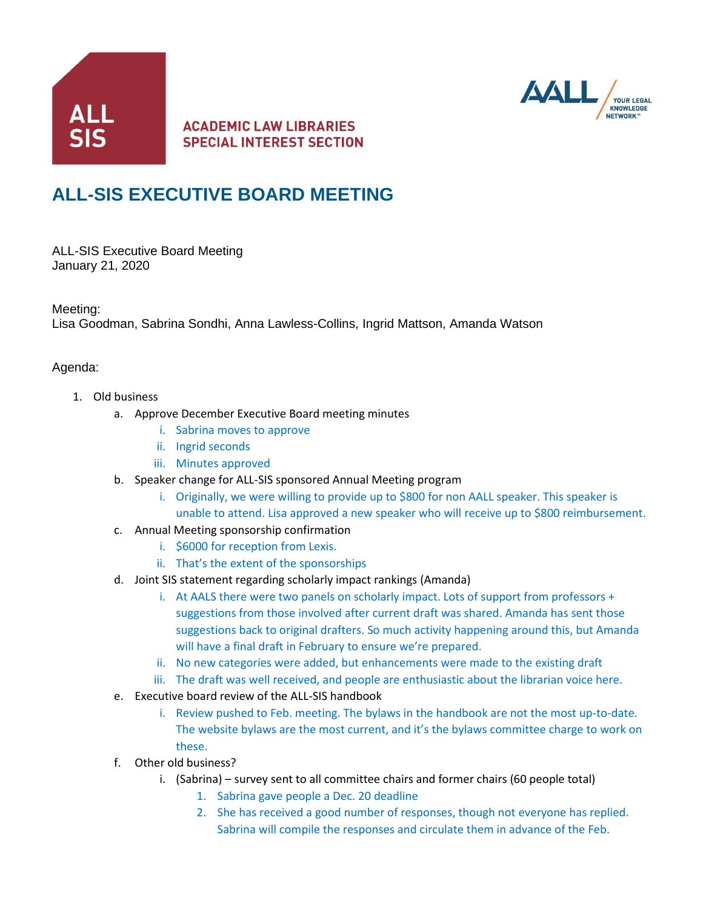

## **ACADEMIC LAW LIBRARIES SPECIAL INTEREST SECTION**



# **ALL-SIS EXECUTIVE BOARD MEETING**

ALL-SIS Executive Board Meeting January 21, 2020

Meeting:

Lisa Goodman, Sabrina Sondhi, Anna Lawless-Collins, Ingrid Mattson, Amanda Watson

#### Agenda:

- 1. Old business
	- a. Approve December Executive Board meeting minutes
		- i. Sabrina moves to approve
		- ii. Ingrid seconds
		- iii. Minutes approved
	- b. Speaker change for ALL-SIS sponsored Annual Meeting program
		- i. Originally, we were willing to provide up to \$800 for non AALL speaker. This speaker is unable to attend. Lisa approved a new speaker who will receive up to \$800 reimbursement.
	- c. Annual Meeting sponsorship confirmation
		- i. \$6000 for reception from Lexis.
		- ii. That's the extent of the sponsorships
	- d. Joint SIS statement regarding scholarly impact rankings (Amanda)
		- i. At AALS there were two panels on scholarly impact. Lots of support from professors + suggestions from those involved after current draft was shared. Amanda has sent those suggestions back to original drafters. So much activity happening around this, but Amanda will have a final draft in February to ensure we're prepared.
		- ii. No new categories were added, but enhancements were made to the existing draft
		- iii. The draft was well received, and people are enthusiastic about the librarian voice here.
	- e. Executive board review of the ALL-SIS handbook
		- i. Review pushed to Feb. meeting. The bylaws in the handbook are not the most up-to-date. The website bylaws are the most current, and it's the bylaws committee charge to work on these.
	- f. Other old business?
		- i. (Sabrina) survey sent to all committee chairs and former chairs (60 people total)
			- 1. Sabrina gave people a Dec. 20 deadline
			- 2. She has received a good number of responses, though not everyone has replied. Sabrina will compile the responses and circulate them in advance of the Feb.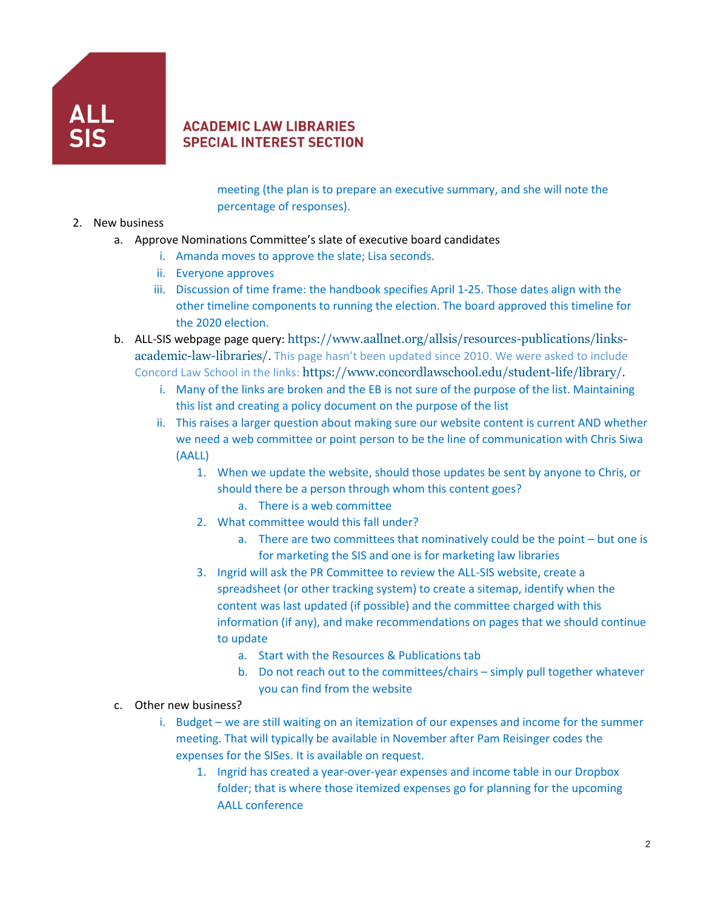

#### **ACADEMIC LAW LIBRARIES SPECIAL INTEREST SECTION**

meeting (the plan is to prepare an executive summary, and she will note the percentage of responses).

- 2. New business
	- a. Approve Nominations Committee's slate of executive board candidates
		- i. Amanda moves to approve the slate; Lisa seconds.
		- ii. Everyone approves
		- iii. Discussion of time frame: the handbook specifies April 1-25. Those dates align with the other timeline components to running the election. The board approved this timeline for the 2020 election.
	- b. ALL-SIS webpage page query: [https://www.aallnet.org/allsis/resources-publications/links](https://www.aallnet.org/allsis/resources-publications/links-academic-law-libraries/)[academic-law-libraries/](https://www.aallnet.org/allsis/resources-publications/links-academic-law-libraries/). This page hasn't been updated since 2010. We were asked to include Concord Law School in the links: <https://www.concordlawschool.edu/student-life/library/>.
		- i. Many of the links are broken and the EB is not sure of the purpose of the list. Maintaining this list and creating a policy document on the purpose of the list
		- ii. This raises a larger question about making sure our website content is current AND whether we need a web committee or point person to be the line of communication with Chris Siwa (AALL)
			- 1. When we update the website, should those updates be sent by anyone to Chris, or should there be a person through whom this content goes?
				- a. There is a web committee
			- 2. What committee would this fall under?
				- a. There are two committees that nominatively could be the point but one is for marketing the SIS and one is for marketing law libraries
			- 3. Ingrid will ask the PR Committee to review the ALL-SIS website, create a spreadsheet (or other tracking system) to create a sitemap, identify when the content was last updated (if possible) and the committee charged with this information (if any), and make recommendations on pages that we should continue to update
				- a. Start with the Resources & Publications tab
				- b. Do not reach out to the committees/chairs simply pull together whatever you can find from the website
	- c. Other new business?
		- i. Budget we are still waiting on an itemization of our expenses and income for the summer meeting. That will typically be available in November after Pam Reisinger codes the expenses for the SISes. It is available on request.
			- 1. Ingrid has created a year-over-year expenses and income table in our Dropbox folder; that is where those itemized expenses go for planning for the upcoming AALL conference